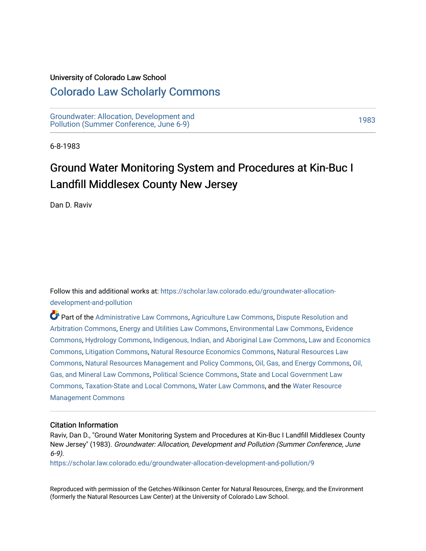#### University of Colorado Law School

# [Colorado Law Scholarly Commons](https://scholar.law.colorado.edu/)

[Groundwater: Allocation, Development and](https://scholar.law.colorado.edu/groundwater-allocation-development-and-pollution)  [Pollution \(Summer Conference, June 6-9\)](https://scholar.law.colorado.edu/groundwater-allocation-development-and-pollution) [1983](https://scholar.law.colorado.edu/conferences1983) 

6-8-1983

# Ground Water Monitoring System and Procedures at Kin-Buc I Landfill Middlesex County New Jersey

Dan D. Raviv

Follow this and additional works at: [https://scholar.law.colorado.edu/groundwater-allocation](https://scholar.law.colorado.edu/groundwater-allocation-development-and-pollution?utm_source=scholar.law.colorado.edu%2Fgroundwater-allocation-development-and-pollution%2F9&utm_medium=PDF&utm_campaign=PDFCoverPages)[development-and-pollution](https://scholar.law.colorado.edu/groundwater-allocation-development-and-pollution?utm_source=scholar.law.colorado.edu%2Fgroundwater-allocation-development-and-pollution%2F9&utm_medium=PDF&utm_campaign=PDFCoverPages)

Part of the [Administrative Law Commons,](http://network.bepress.com/hgg/discipline/579?utm_source=scholar.law.colorado.edu%2Fgroundwater-allocation-development-and-pollution%2F9&utm_medium=PDF&utm_campaign=PDFCoverPages) [Agriculture Law Commons](http://network.bepress.com/hgg/discipline/581?utm_source=scholar.law.colorado.edu%2Fgroundwater-allocation-development-and-pollution%2F9&utm_medium=PDF&utm_campaign=PDFCoverPages), [Dispute Resolution and](http://network.bepress.com/hgg/discipline/890?utm_source=scholar.law.colorado.edu%2Fgroundwater-allocation-development-and-pollution%2F9&utm_medium=PDF&utm_campaign=PDFCoverPages) [Arbitration Commons](http://network.bepress.com/hgg/discipline/890?utm_source=scholar.law.colorado.edu%2Fgroundwater-allocation-development-and-pollution%2F9&utm_medium=PDF&utm_campaign=PDFCoverPages), [Energy and Utilities Law Commons](http://network.bepress.com/hgg/discipline/891?utm_source=scholar.law.colorado.edu%2Fgroundwater-allocation-development-and-pollution%2F9&utm_medium=PDF&utm_campaign=PDFCoverPages), [Environmental Law Commons,](http://network.bepress.com/hgg/discipline/599?utm_source=scholar.law.colorado.edu%2Fgroundwater-allocation-development-and-pollution%2F9&utm_medium=PDF&utm_campaign=PDFCoverPages) [Evidence](http://network.bepress.com/hgg/discipline/601?utm_source=scholar.law.colorado.edu%2Fgroundwater-allocation-development-and-pollution%2F9&utm_medium=PDF&utm_campaign=PDFCoverPages)  [Commons](http://network.bepress.com/hgg/discipline/601?utm_source=scholar.law.colorado.edu%2Fgroundwater-allocation-development-and-pollution%2F9&utm_medium=PDF&utm_campaign=PDFCoverPages), [Hydrology Commons](http://network.bepress.com/hgg/discipline/1054?utm_source=scholar.law.colorado.edu%2Fgroundwater-allocation-development-and-pollution%2F9&utm_medium=PDF&utm_campaign=PDFCoverPages), [Indigenous, Indian, and Aboriginal Law Commons](http://network.bepress.com/hgg/discipline/894?utm_source=scholar.law.colorado.edu%2Fgroundwater-allocation-development-and-pollution%2F9&utm_medium=PDF&utm_campaign=PDFCoverPages), [Law and Economics](http://network.bepress.com/hgg/discipline/612?utm_source=scholar.law.colorado.edu%2Fgroundwater-allocation-development-and-pollution%2F9&utm_medium=PDF&utm_campaign=PDFCoverPages)  [Commons](http://network.bepress.com/hgg/discipline/612?utm_source=scholar.law.colorado.edu%2Fgroundwater-allocation-development-and-pollution%2F9&utm_medium=PDF&utm_campaign=PDFCoverPages), [Litigation Commons,](http://network.bepress.com/hgg/discipline/910?utm_source=scholar.law.colorado.edu%2Fgroundwater-allocation-development-and-pollution%2F9&utm_medium=PDF&utm_campaign=PDFCoverPages) [Natural Resource Economics Commons,](http://network.bepress.com/hgg/discipline/169?utm_source=scholar.law.colorado.edu%2Fgroundwater-allocation-development-and-pollution%2F9&utm_medium=PDF&utm_campaign=PDFCoverPages) [Natural Resources Law](http://network.bepress.com/hgg/discipline/863?utm_source=scholar.law.colorado.edu%2Fgroundwater-allocation-development-and-pollution%2F9&utm_medium=PDF&utm_campaign=PDFCoverPages)  [Commons](http://network.bepress.com/hgg/discipline/863?utm_source=scholar.law.colorado.edu%2Fgroundwater-allocation-development-and-pollution%2F9&utm_medium=PDF&utm_campaign=PDFCoverPages), [Natural Resources Management and Policy Commons,](http://network.bepress.com/hgg/discipline/170?utm_source=scholar.law.colorado.edu%2Fgroundwater-allocation-development-and-pollution%2F9&utm_medium=PDF&utm_campaign=PDFCoverPages) [Oil, Gas, and Energy Commons,](http://network.bepress.com/hgg/discipline/171?utm_source=scholar.law.colorado.edu%2Fgroundwater-allocation-development-and-pollution%2F9&utm_medium=PDF&utm_campaign=PDFCoverPages) [Oil,](http://network.bepress.com/hgg/discipline/864?utm_source=scholar.law.colorado.edu%2Fgroundwater-allocation-development-and-pollution%2F9&utm_medium=PDF&utm_campaign=PDFCoverPages)  [Gas, and Mineral Law Commons](http://network.bepress.com/hgg/discipline/864?utm_source=scholar.law.colorado.edu%2Fgroundwater-allocation-development-and-pollution%2F9&utm_medium=PDF&utm_campaign=PDFCoverPages), [Political Science Commons](http://network.bepress.com/hgg/discipline/386?utm_source=scholar.law.colorado.edu%2Fgroundwater-allocation-development-and-pollution%2F9&utm_medium=PDF&utm_campaign=PDFCoverPages), [State and Local Government Law](http://network.bepress.com/hgg/discipline/879?utm_source=scholar.law.colorado.edu%2Fgroundwater-allocation-development-and-pollution%2F9&utm_medium=PDF&utm_campaign=PDFCoverPages) [Commons](http://network.bepress.com/hgg/discipline/879?utm_source=scholar.law.colorado.edu%2Fgroundwater-allocation-development-and-pollution%2F9&utm_medium=PDF&utm_campaign=PDFCoverPages), [Taxation-State and Local Commons](http://network.bepress.com/hgg/discipline/882?utm_source=scholar.law.colorado.edu%2Fgroundwater-allocation-development-and-pollution%2F9&utm_medium=PDF&utm_campaign=PDFCoverPages), [Water Law Commons,](http://network.bepress.com/hgg/discipline/887?utm_source=scholar.law.colorado.edu%2Fgroundwater-allocation-development-and-pollution%2F9&utm_medium=PDF&utm_campaign=PDFCoverPages) and the [Water Resource](http://network.bepress.com/hgg/discipline/1057?utm_source=scholar.law.colorado.edu%2Fgroundwater-allocation-development-and-pollution%2F9&utm_medium=PDF&utm_campaign=PDFCoverPages) [Management Commons](http://network.bepress.com/hgg/discipline/1057?utm_source=scholar.law.colorado.edu%2Fgroundwater-allocation-development-and-pollution%2F9&utm_medium=PDF&utm_campaign=PDFCoverPages)

#### Citation Information

Raviv, Dan D., "Ground Water Monitoring System and Procedures at Kin-Buc I Landfill Middlesex County New Jersey" (1983). Groundwater: Allocation, Development and Pollution (Summer Conference, June 6-9).

[https://scholar.law.colorado.edu/groundwater-allocation-development-and-pollution/9](https://scholar.law.colorado.edu/groundwater-allocation-development-and-pollution/9?utm_source=scholar.law.colorado.edu%2Fgroundwater-allocation-development-and-pollution%2F9&utm_medium=PDF&utm_campaign=PDFCoverPages)

Reproduced with permission of the Getches-Wilkinson Center for Natural Resources, Energy, and the Environment (formerly the Natural Resources Law Center) at the University of Colorado Law School.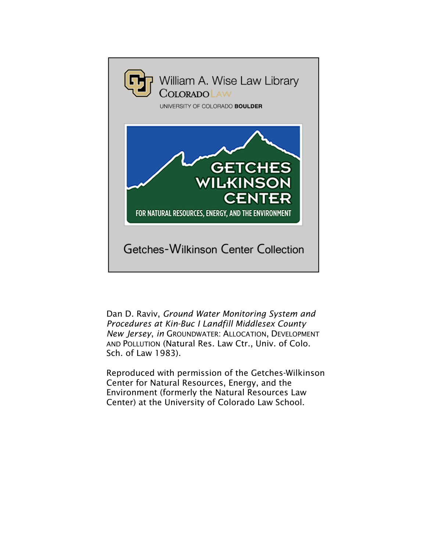

Dan D. Raviv, *Ground Water Monitoring System and Procedures at Kin-Buc I Landfill Middlesex County New Jersey*, *in* GROUNDWATER: ALLOCATION, DEVELOPMENT AND POLLUTION (Natural Res. Law Ctr., Univ. of Colo. Sch. of Law 1983).

Reproduced with permission of the Getches-Wilkinson Center for Natural Resources, Energy, and the Environment (formerly the Natural Resources Law Center) at the University of Colorado Law School.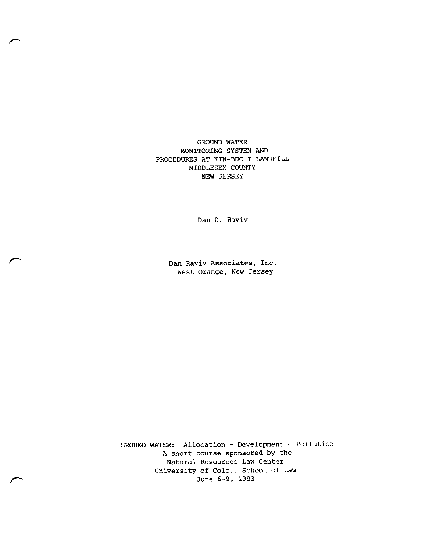GROUND WATER MONITORING SYSTEM AND PROCEDURES AT KIN-BUC I LANDFILL MIDDLESEX COUNTY NEW JERSEY

Dan D. Raviv

Dan Raviv Associates, Inc. West Orange, New Jersey

GROUND WATER: Allocation - Development - Pollution A short course sponsored by the Natural Resources Law Center University of Colo., School of Law June 6-9, 1983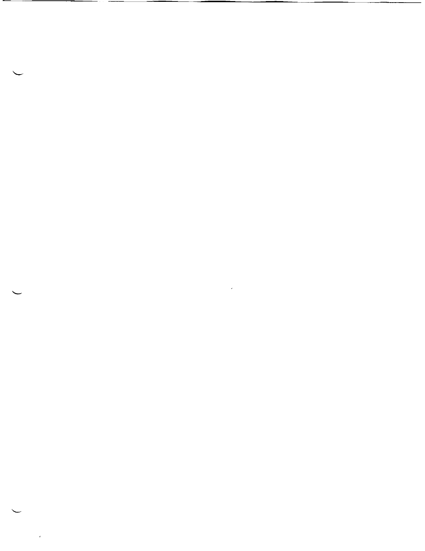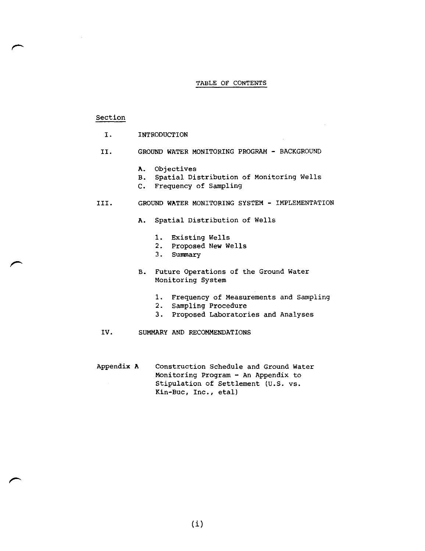#### TABLE OF CONTENTS

#### **Section**

- I. INTRODUCTION
- GROUND WATER MONITORING PROGRAM BACKGROUND II.
	- A. Objectives
	- B. Spatial Distribution of Monitoring Wells
	- C. Frequency of Sampling

#### III. GROUND WATER MONITORING SYSTEM - IMPLEMENTATION

- A. Spatial Distribution of Wells
	- 1. Existing Wells
	- 2. Proposed New Wells
	- 3. Summary
- B. Future Operations of the Ground Water Monitoring System
	- 1. Frequency of Measurements and Sampling
	- 2. Sampling Procedure
	- 3. Proposed Laboratories and Analyses

#### IV. SUMMARY AND RECOMMENDATIONS

Appendix A Construction Schedule and Ground Water Monitoring Program - An Appendix to Stipulation of Settlement (U.S. vs. Kin-Buc, Inc., etal)

(i)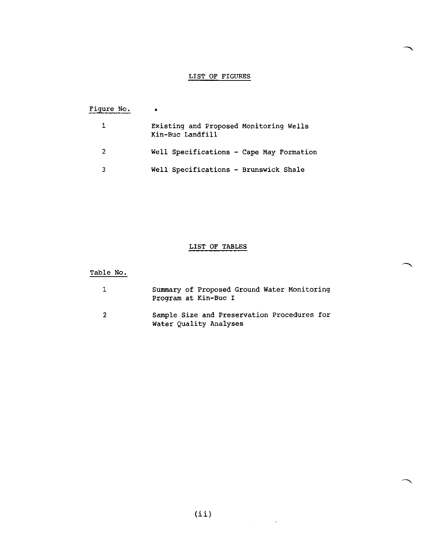### LIST OF FIGURES

# Figure No.

|     | Existing and Proposed Monitoring Wells<br>Kin-Buc Landfill |
|-----|------------------------------------------------------------|
| - 2 | Well Specifications - Cape May Formation                   |
|     | Well Specifications - Brunswick Shale                      |

# LIST OF TABLES

Table No.

|                | Summary of Proposed Ground Water Monitoring<br>Program at Kin-Buc I |
|----------------|---------------------------------------------------------------------|
| $\overline{2}$ | Sample Size and Preservation Procedures for                         |

Water Quality Analyses

 $\label{eq:2.1} \frac{1}{\sqrt{2\pi}}\int_{0}^{\infty}\frac{1}{\sqrt{2\pi}}\left(\frac{1}{\sqrt{2\pi}}\right)^{2}d\mu\,d\mu\,.$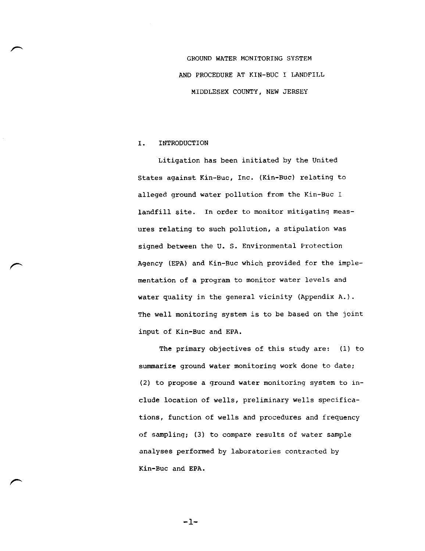GROUND WATER MONITORING SYSTEM AND PROCEDURE AT KIN-BUC I LANDFILL MIDDLESEX COUNTY, NEW JERSEY

#### I. INTRODUCTION

Litigation has been initiated by the United States against Kin-Buc, Inc. (Kin-Buc) relating to alleged ground water pollution from the Kin-Buc landfill site. In order to monitor mitigating measures relating to such pollution, a stipulation was signed between the U. S. Environmental Protection Agency (EPA) and Kin-Buc which provided for the implementation of a program to monitor water levels and water quality in the general vicinity (Appendix A.). The well monitoring system is to be based on the joint input of Kin-Buc and EPA.

The primary objectives of this study are: (I) to summarize ground water monitoring work done to date; (2) to propose a ground water monitoring system to include location of wells, preliminary wells specifications, function of wells and procedures and frequency of sampling; (3) to compare results of water sample analyses performed by laboratories contracted by Kin-Buc and EPA.

 $-1-$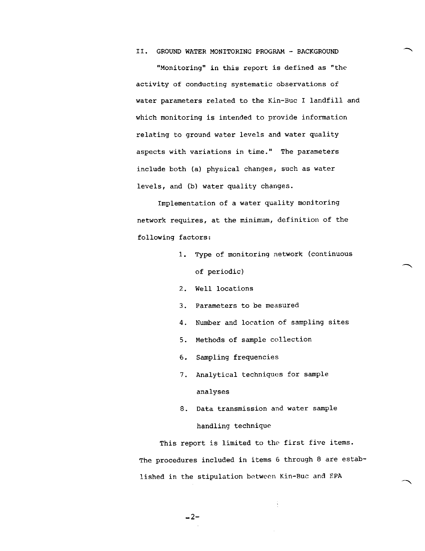#### II. GROUND WATER MONITORING PROGRAM - BACKGROUND

"Monitoring" in this report is defined as "the activity of conducting systematic observations of water parameters related to the Kin-Buc I landfill and which monitoring is intended to provide information relating to ground water levels and water quality aspects with variations in time." The parameters include both (a) physical changes, such as water levels, and (b) water quality changes.

Implementation of a water quality monitoring network requires, at the minimum, definition of the following factors:

- 1. Type of monitoring network (continuous of periodic)
- 2. Well locations
- 3. Parameters to be measured
- 4. Number and location of sampling sites
- 5. Methods of sample collection
- 6. Sampling frequencies
- 7. Analytical techniques for sample analyses
- B. Data transmission and water sample handling technique

This report is limited to the first five items. The procedures included in items 6 through 8 are established in the stipulation between Kin-Buc and EPA

 $-2-$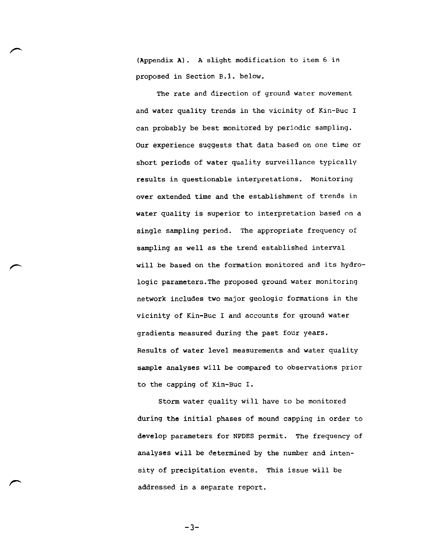(Appendix A). A slight modification to item 6 in proposed in Section B.1. below.

The rate and direction of ground water movement and water quality trends in the vicinity of Kin-Buc I can probably be best monitored by periodic sampling. Our experience suggests that data based on one time or short periods of water quality surveillance typically results in questionable interpretations. Monitoring over extended time and the establishment of trends in water quality is superior to interpretation based on a single sampling period. The appropriate frequency of sampling as well as the trend established interval will be based on the formation monitored and its hydrologic parameters.The proposed ground water monitoring network includes two major geologic formations in the vicinity of Kin-Buc I and accounts for ground water gradients measured during the past four years. Results of water level measurements and water quality sample analyses will be compared to observations prior to the capping of Kin-Buc I.

Storm water quality will have to be monitored during the initial phases of mound capping in order to develop parameters for NPDES permit. The frequency of analyses will be determined by the number and intensity of precipitation events. This issue will be addressed in a separate report.

—3—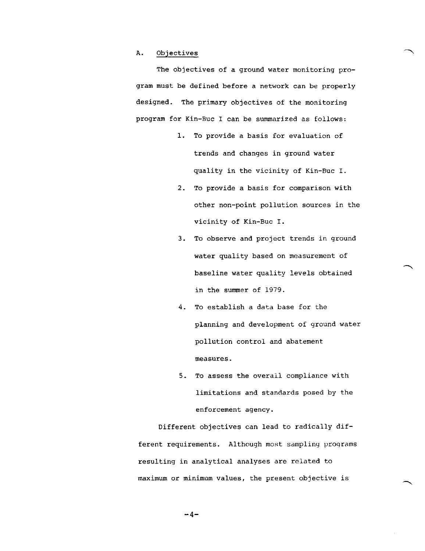#### A. Objectives

The objectives of a ground water monitoring program must be defined before a network can be properly designed. The primary objectives of the monitoring program for Kin-Buc I can be summarized as follows:

- 1. To provide a basis for evaluation of trends and changes in ground water quality in the vicinity of Kin-Buc I.
- 2. To provide a basis for comparison with other non-point pollution sources in the vicinity of Kin-Buc I.
- 3. To observe and project trends in ground water quality based on measurement of baseline water quality levels obtained in the summer of 1979.
- 4. To establish a data base for the planning and development of ground water pollution control and abatement measures.
- S. To assess the overall compliance with limitations and standards posed by the enforcement agency.

Different objectives can lead to radically different requirements. Although most sampling programs resulting in analytical analyses are related to maximum or minimum values, the present objective is

 $-4-$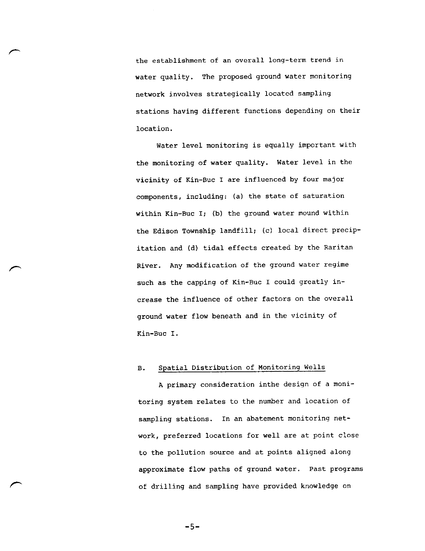the establishment of an overall long-term trend In water quality. The proposed ground water monitoring network involves strategically located sampling stations having different functions depending on their location.

Water level monitoring is equally important with the monitoring of water quality. Water level in the vicinity of Kin-Buc I are influenced by four major components, including: (a) the state of saturation within Kin-Buc I; (b) the ground water mound within the Edison Township landfill; (c) local direct precipitation and (d) tidal effects created by the Raritan River. Any modification of the ground water regime such as the capping of Kin-Buc I could greatly increase the influence of other factors on the overall ground water flow beneath and in the vicinity of Kin-Buc I.

#### B. Spatial Distribution of Monitoring Wells

A primary consideration inthe design of a monitoring system relates to the number and location of sampling stations. In an abatement monitoring network, preferred locations for well are at point close to the pollution source and at points aligned along approximate flow paths of ground water. Past programs of drilling and sampling have provided knowledge on

-5-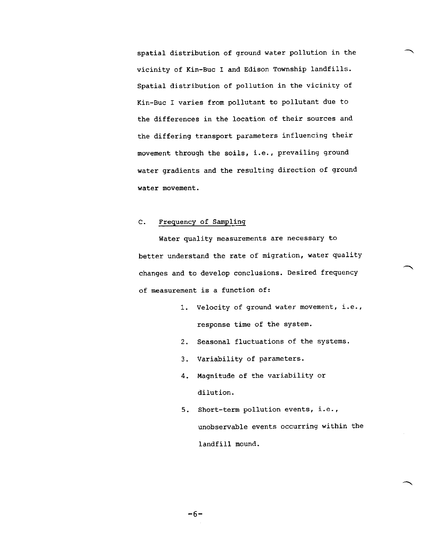spatial distribution of ground water pollution in the vicinity of Kin-Buc I and Edison Township landfills. Spatial distribution of pollution in the vicinity of Kin-Buc I varies from pollutant to pollutant due to the differences in the location of their sources and the differing transport parameters influencing their movement through the soils, i.e., prevailing ground water gradients and the resulting direction of ground water movement.

#### C. Frequency of Sampling

Water quality measurements are necessary to better understand the rate of migration, water quality changes and to develop conclusions. Desired frequency of measurement is a function of:

- I. Velocity of ground water movement, i.e., response time of the system.
- 2. Seasonal fluctuations of the systems.
- 3. Variability of parameters.
- 4. Magnitude of the variability or dilution.
- 5. Short-term pollution events, i.e., unobservable events occurring within the landfill mound.

-6-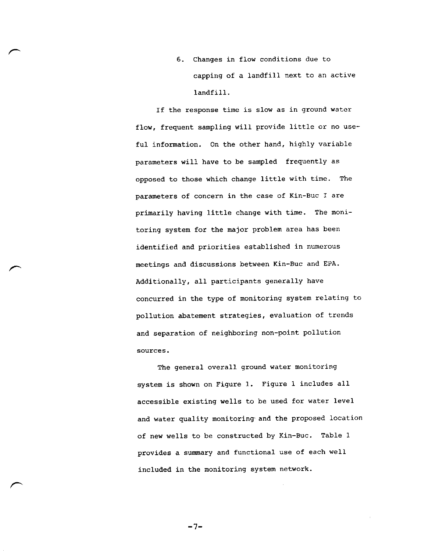6. Changes in flow conditions due to capping of a landfill next to an active landfill.

If the response time is slow as in ground water flow, frequent sampling will provide little or no useful information. On the other hand, highly variable parameters will have to be sampled frequently as opposed to those which change little with time. The parameters of concern in the case of Kin-Buc I are primarily having little change with time. The monitoring system for the major problem area has been identified and priorities established in numerous meetings and discussions between Kin-Buc and EPA. Additionally, all participants generally have concurred in the type of monitoring system relating to pollution abatement strategies, evaluation of trends and separation of neighboring non-point pollution sources.

The general overall ground water monitoring system is shown on Figure 1. Figure 1 includes all accessible existing wells to be used for water level and water quality monitoring and the proposed location of new wells to be constructed by Kin-Buc. Table 1 provides a summary and functional use of each well included in the monitoring system network.

-7-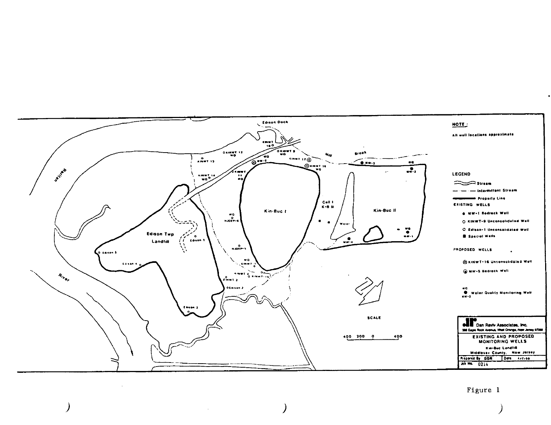

#### Figure 1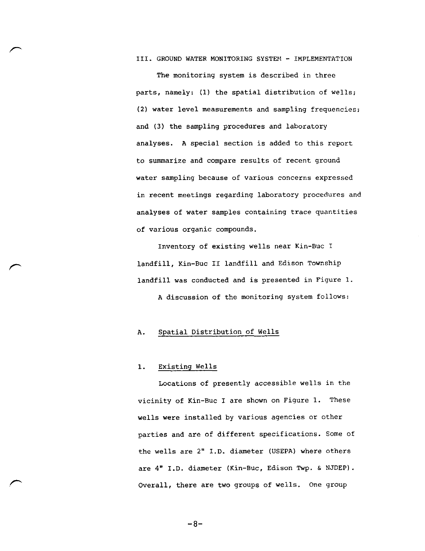#### III. GROUND WATER MONITORING SYSTEM - IMPLEMENTATION

The monitoring system is described in three parts, namely: (1) the spatial distribution of wells; (2) water level measurements and sampling frequencies; and (3) the sampling procedures and laboratory analyses. A special section is added to this report to summarize and compare results of recent ground water sampling because of various concerns expressed in recent meetings regarding laboratory procedures and analyses of water samples containing trace quantities of various organic compounds.

Inventory of existing wells near Kin-Buc I landfill, Kin-Buc II landfill and Edison Township landfill was conducted and is presented in Figure 1.

A discussion of the monitoring system follows:

#### A. Spatial Distribution of Wells

#### 1. Existing Wells

Locations of presently accessible wells in the vicinity of Kin-Buc I are shown on Figure 1. These wells were installed by various agencies or other parties and are of different specifications. Some of the wells are 2" I.D. diameter (USEPA) where others are 4" I.D. diameter (Kin-Buc, Edison Twp. & NJDEP). Overall, there are two groups of wells. One group

 $-8-$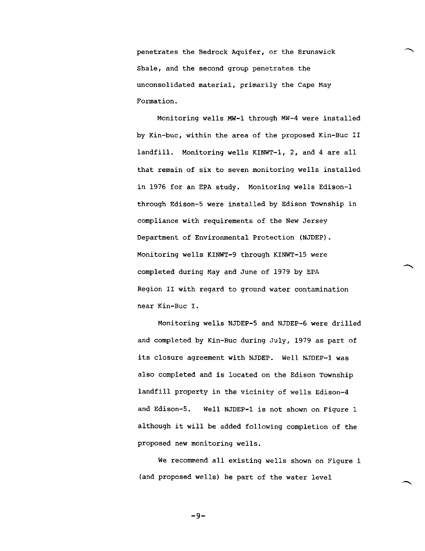penetrates the Bedrock Aquifer, or the Brunswick Shale, and the second group penetrates the unconsolidated material, primarily the Cape May Formation.

Monitoring wells MW-1 through MW-4 were installed by Kin-buc, within the area of the proposed Kin-Buc II landfill. Monitoring wells KINWT-1, 2, and 4 are all that remain of six to seven monitoring wells installed in 1976 for an EPA study. Monitoring wells Edison-1 through Edison-5 were installed by Edison Township in compliance with requirements of the New Jersey Department of Environmental Protection (NJDEP). Monitoring wells KINWT-9 through KINWT-15 were completed during May and June of 1979 by EPA Region II with regard to ground water contamination near Kin-Buc I.

Monitoring wells NJDEP-5 and NJDEP-6 were drilled and completed by Kin-Buc during July, 1979 as part of its closure agreement with NJDEP. Well NJDEP-1 was also completed and is located on the Edison Township landfill property in the vicinity of wells Edison-4 and Edison-5. Well NJDEP-1 is not shown on Figure 1 although it will be added following completion of the proposed new monitoring wells.

We recommend all existing wells shown on Figure 1 (and proposed wells) be part of the water level

-9-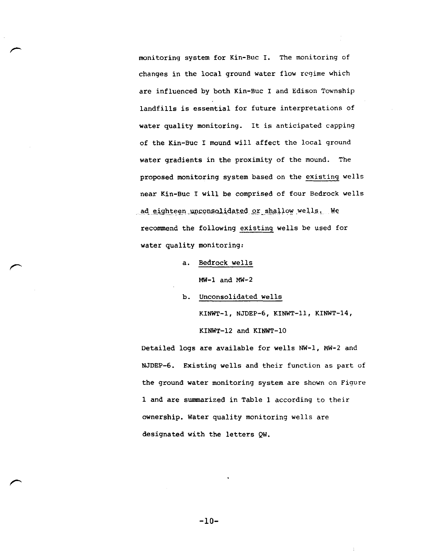monitoring system for Kin-Buc I. The monitoring of changes in the local ground water flow regime which are influenced by both Kin-Buc I and Edison Township landfills is essential for future interpretations of water quality monitoring. It is anticipated capping of the Kin-Buc I mound will affect the local ground water gradients in the proximity of the mound. The proposed monitoring system based on the existing wells near Kin-Buc I will be comprised of four Bedrock wells ad eighteen unconsolidated or shallow wells. We recommend the following existing wells be used for water quality monitoring:

a. Bedrock wells

 $MW-1$  and  $MW-2$ 

b. Unconsolidated wells KINWT-1, NJDEP-6, KINWT-11, KINWT-14, KINWT-12 and KINWT-10

Detailed logs are available for wells NW-1, MW-2 and NJDEP-6. Existing wells and their function as part of the ground water monitoring system are shown on Figure 1 and are summarized in Table 1 according to their ownership. Water quality monitoring wells are designated with the letters QW.

 $-10-$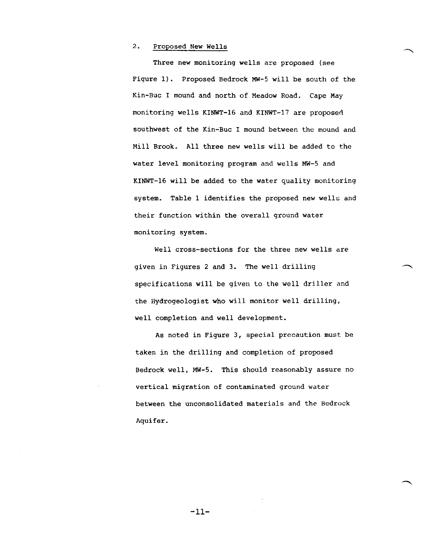#### 2. Proposed New Wells

Three new monitoring wells are proposed (see Figure 1). Proposed Bedrock MW-5 will be south of the Kin-Buc I mound and north of Meadow Road. Cape May monitoring wells KINWT-16 and KINWT-17 are proposed southwest of the Kin-Buc I mound between the mound and Mill Brook. All three new wells will be added to the water level monitoring program and wells MW-5 and KINWT-16 will be added to the water quality monitoring system. Table 1 identifies the proposed new wells and their function within the overall ground water monitoring system.

Well cross-sections for the three new wells are given in Figures 2 and 3. The well drilling specifications will be given to the well driller and the Hydrogeologist who will monitor well drilling, well completion and well development.

As noted in Figure 3, special precaution must be taken in the drilling and completion of proposed Bedrock well, MW-5. This should reasonably assure no vertical migration of contaminated ground water between the unconsolidated materials and the Bedrock Aquifer.

 $-11-$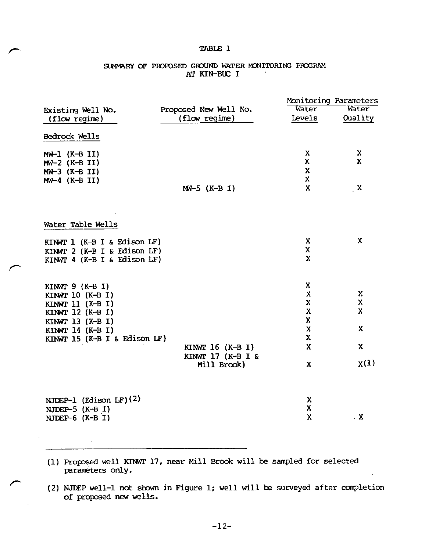#### TABLE 1

### **SUMMARY OF PROPOSED GRDUND WATER MONITORING PROGRAm** AT KIN-BUC I

|                                    |                       | Monitoring Parameters |              |
|------------------------------------|-----------------------|-----------------------|--------------|
| Existing Well No.                  | Proposed New Well No. | Water                 | Water        |
| (flow regime)                      | (flow regime)         | Levels                | Quality      |
|                                    |                       |                       |              |
| Bedrock Wells                      |                       |                       |              |
|                                    |                       |                       |              |
| MW-1 (K-B II)                      |                       | X.                    | X            |
| MW-2 (K-B II)                      |                       | $\mathbf{x}$          | $\mathbf{x}$ |
| MW-3 (K-B II)                      |                       | X                     |              |
| $MW-4$ (K-B II)                    |                       | $\mathbf x$           |              |
|                                    | $MN-5$ (K-B I)        | $\mathbf{x}$          | $\mathbf{X}$ |
|                                    |                       |                       |              |
|                                    |                       |                       |              |
|                                    |                       |                       |              |
|                                    |                       |                       |              |
| Water Table Wells                  |                       |                       |              |
|                                    |                       |                       | X            |
| KINWT 1 (K-B I & Edison LF)        |                       | $\mathbf{X}$          |              |
| KINWT 2 (K-B I & Edison LF)        |                       | X.                    |              |
| KINNT 4 (K-B I & Edison LF)        |                       | $\mathbf{x}$          |              |
|                                    |                       |                       |              |
|                                    |                       |                       |              |
| KINWT $9$ (K-B I)                  |                       | $\mathbf{x}$          |              |
| KINNT $10$ (K-B I)                 |                       | $\mathbf x$           | X            |
| KINWT 11 (K-B I)                   |                       | $\mathbf{x}$          | X            |
| KINWT 12 $(K-B I)$                 |                       | $\mathbf{x}$          | X            |
| KINWT 13 (K-B I)                   |                       | $\mathbf{x}$          |              |
| KINWT 14 (K-B I)                   |                       | $\mathbf{x}$          | $\mathbf{x}$ |
| KINNT 15 (K-B I & Edison LF)       |                       | $\mathbf{x}$          |              |
|                                    | KINWT 16 (K-B I)      | $\mathbf{x}$          | $\mathbf{x}$ |
|                                    | KINWT 17 (K-B I &     |                       |              |
|                                    | Mill Brook)           | $\mathbf{x}$          | X(1)         |
|                                    |                       |                       |              |
|                                    |                       |                       |              |
|                                    |                       |                       |              |
|                                    |                       | $\mathbf x$           |              |
| NJDEP-1 (Edison LF) <sup>(2)</sup> |                       | $\mathbf x$           |              |
| $NIDEP-5$ $(K-B I)$                |                       | $\mathbf x$           | $\mathbf{X}$ |
| NJDEP-6 (K-B I)                    |                       |                       |              |

- (1) Proposed well KINWT 17, near Mill Brook will be sampled for selected parameters only.
- (2) NJDEP well-1 not shown in Figure 1; well will be surveyed after completion of proposed new wells.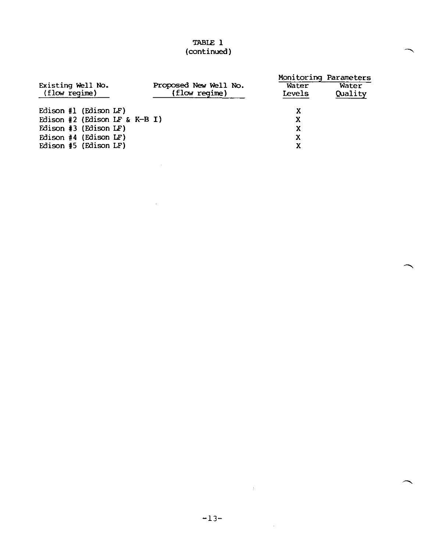### TABLE I (continued)

| Existing Well No.<br>(flow regime)                                                                                                        | Proposed New Well No.<br>(flow regime) | Water<br>Levels       | Monitoring Parameters<br>Water<br>Quality |
|-------------------------------------------------------------------------------------------------------------------------------------------|----------------------------------------|-----------------------|-------------------------------------------|
| Edison #1 $(Edison LF)$<br>Edison #2 (Edison LF & K-B I)<br>Edison $#3$ (Edison LF)<br>Edison $#4$ (Edison LF)<br>Edison $#5$ (Edison LF) |                                        | X<br>X<br>X<br>X<br>X |                                           |

 $\sim 10^7$ 

 $\sim$   $\sim$ 

 $\sim 2000$ 

J.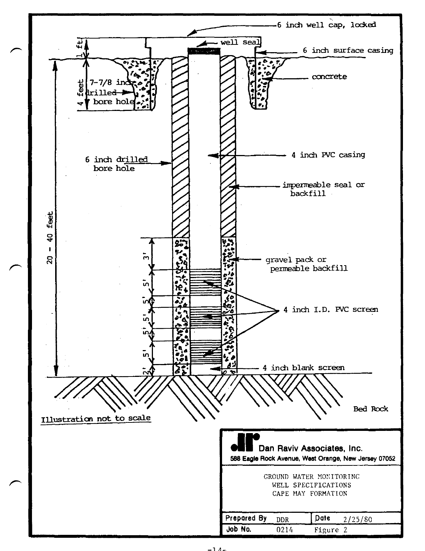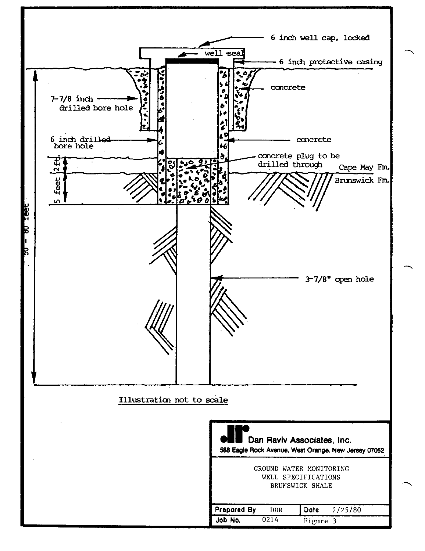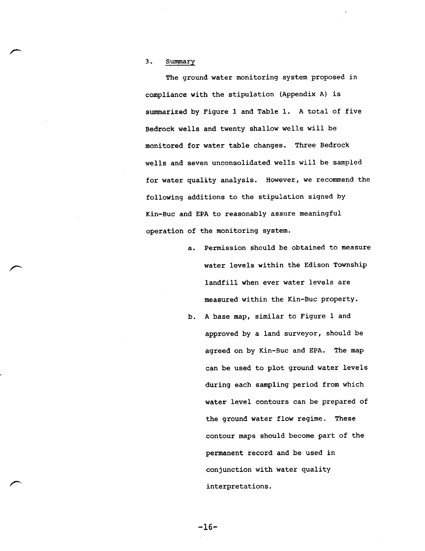#### 3. Summary

The ground water monitoring system proposed in compliance with the stipulation (Appendix A) is summarized by Figure 1 and Table 1. A total of five Bedrock wells and twenty shallow wells will be monitored for water table changes. Three Bedrock wells and seven unconsolidated wells will be sampled for water quality analysis. However, we recommend the following additions to the stipulation signed by Kin-Buc and EPA to reasonably assure meaningful operation of the monitoring system.

- a. Permission should be obtained to measure water levels within the Edison Township landfill when ever water levels are measured within the Kin-Buc property.
- b. A base map, similar to Figure 1 and approved by a land surveyor, should be agreed on by Kin-Buc and EPA. The map can be used to plot ground water levels during each sampling period from which water level contours can be prepared of the ground water flow regime. These contour maps should become part of the permanent record and be used in conjunction with water quality interpretations.

-16-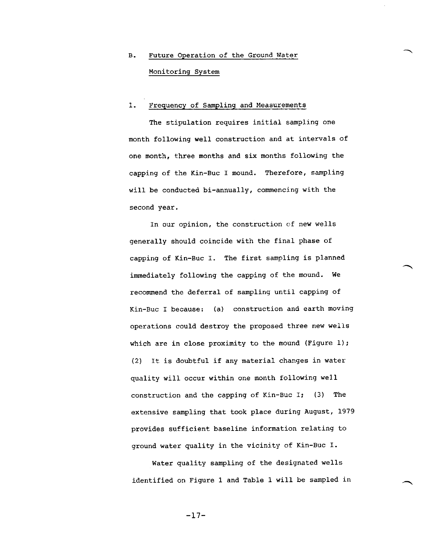# B. Future Operation of the Ground Water Monitoring System

#### 1. Frequency of Sampling and Measurements

The stipulation requires initial sampling one month following well construction and at intervals of one month, three months and **six** months following the capping of the Kin-Buc I mound. Therefore, sampling will be conducted bi-annually, commencing with the second year.

In our opinion, the construction of new wells generally should coincide with the final phase of capping of Kin-Buc I. The first sampling is planned immediately following the capping of the mound. We recommend the deferral of sampling until capping of Kin-Buc I because: (a) construction and earth moving operations could destroy the proposed three new wells which are in close proximity to the mound (Figure  $1$ ); (2) It is doubtful if any material changes in water quality will occur within one month following well construction and the capping of Kin-Buc I; (3) The extensive sampling that took place during August, 1979 provides sufficient baseline information relating to ground water quality in the vicinity of Kin-Buc I.

Water quality sampling of the designated wells identified on Figure 1 and Table 1 will be sampled in

-17-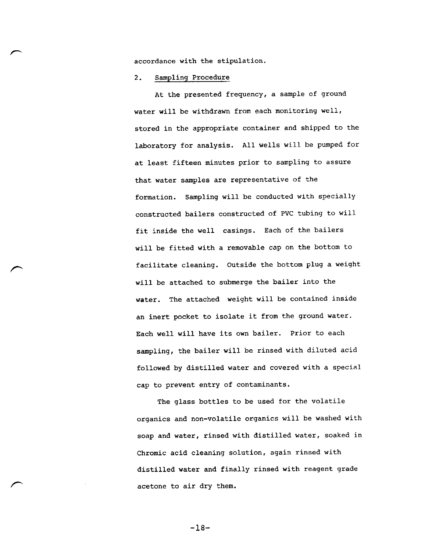accordance with the stipulation.

#### 2. Sampling Procedure

At the presented frequency, a sample of ground water will be withdrawn from each monitoring well, stored in the appropriate container and shipped to the laboratory for analysis. All wells will be pumped for at least fifteen minutes prior to sampling to assure that water samples are representative of the formation. Sampling will be conducted with specially constructed bailers constructed of PVC tubing to will fit inside the well casings. Each of the bailers will be fitted with a removable cap on the bottom to facilitate cleaning. Outside the bottom plug a weight will be attached to submerge the bailer into the water. The attached weight will be contained inside an inert pocket to isolate it from the ground water. Each well will have its own bailer. Prior to each sampling, the bailer will be rinsed with diluted acid followed by distilled water and covered with a special cap to prevent entry of contaminants.

The glass bottles to be used for the volatile organics and non-volatile organics will be washed with soap and water, rinsed with distilled water, soaked in Chromic acid cleaning solution, again rinsed with distilled water and finally rinsed with reagent grade acetone to air dry them.

-18-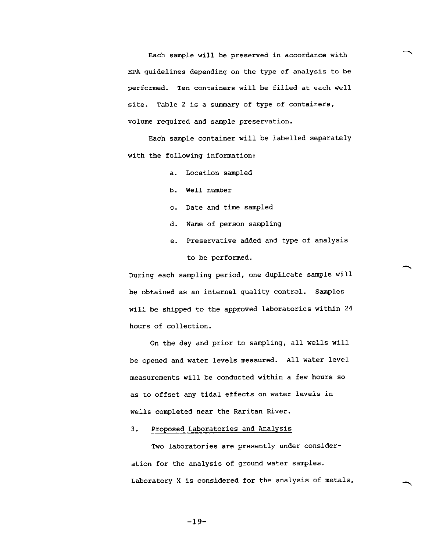Each sample will be preserved in accordance with EPA guidelines depending on the type of analysis to be performed. Ten containers will be filled at each well site. Table 2 is a summary of type of containers, volume required and sample preservation.

Each sample container will be labelled separately with the following information:

- a. Location sampled
- b. Well number
- c. Date and time sampled
- d. Name of person sampling
- e. Preservative added and type of analysis to be performed.

During each sampling period, one duplicate sample will be obtained as an internal quality control. Samples will be shipped to the approved laboratories within 24 hours of collection.

On the day and prior to sampling, all wells will be opened and water levels measured. All water level measurements will be conducted within a few hours so as to offset any tidal effects on water levels in wells completed near the Raritan River.

#### 3. Proposed Laboratories and Analysis

Two laboratories are presently under consideration for the analysis of ground water samples. Laboratory X is considered for the analysis of metals,

-19-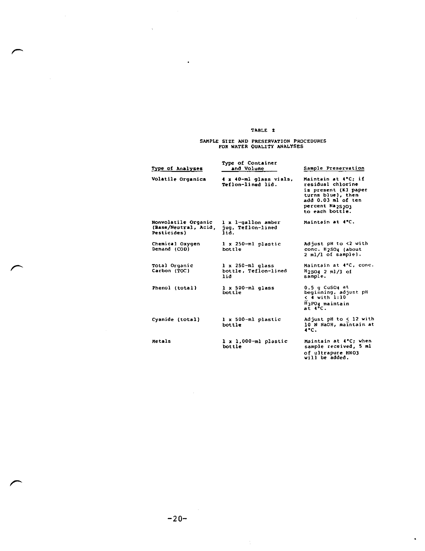#### TABLE 2

 $\sim$ 

 $\bullet$ 

# SAMPLE SIZE AND PRESERVATION PROCEDURES FOR WATER QUALITY ANALYSES

| <b>Type of Analyses</b>                                           | <b>Type of Container</b><br>and Volume          | Sample Preservation                                                                                                                               |
|-------------------------------------------------------------------|-------------------------------------------------|---------------------------------------------------------------------------------------------------------------------------------------------------|
| <b>Volatile Organics</b>                                          | 4 x 40-ml glass vials,<br>Teflon-lined lid.     | Maintain at 4°C; if<br>residual chlorine<br>is present (KI paper<br>turns blue), then<br>add 0.03 ml of ten<br>percent Na2S2O3<br>to each bottle. |
| Nonvolatile Organic<br>(Base/Neutral, Acid,<br><b>Pesticides)</b> | l x 1-gallon amber<br>jug, Teflon-lined<br>lid. | Maintain at 4°C.                                                                                                                                  |
| Chemical Oxygen<br>Demand (COD)                                   | 1 x 250-ml plastic<br>bottle                    | Adjust pH to <2 with<br>conc. H <sub>2</sub> SO4 (about<br>$2 \text{ m1/1 of sample}$ .                                                           |
| Total Organic<br>Carbon (TOC)                                     | l x 250-ml glass<br>bottle, Teflon-lined<br>lid | Maintain at 4°C, conc.<br>$H_{2504}$ 2 ml/l of<br>sample.                                                                                         |
| Phenol (total)                                                    | l x 500-ml glass<br>bottle                      | $0.5$ q CuSO4 at<br>beginning, adjust pH<br>$<$ 4 with $1:10$<br>H3PO4 maintain<br>at 4°C.                                                        |
| Cyanide (total)                                                   | l x 500-ml plastic<br>bottle                    | Adjust $pH$ to $\lt 12$ with<br>10 N NaOH, maintain at<br>$4^{\circ}$ C.                                                                          |
| Metals                                                            | 1 x 1.000-ml plastic<br>bottle                  | Maintain at 4°C; when<br>sample received, 5 ml<br>of ultrapure HNO3<br>will be added.                                                             |

 $\sim$   $\sim$ 

 $\sim$ 

 $\sim$ 

 $\sim 30$ 

 $\bullet$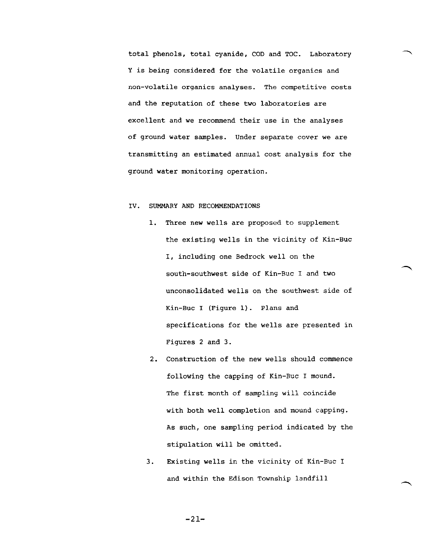total phenols, total cyanide, COD and TOC. Laboratory Y is being considered for the volatile organics and non-volatile organics analyses. The competitive costs and the reputation of these two laboratories are excellent and we recommend their use in the analyses of ground water samples. Under separate cover we are transmitting an estimated annual cost analysis for the ground water monitoring operation.

#### IV. SUMMARY AND RECOMMENDATIONS

- 1. Three new wells are proposed to supplement the existing wells in the vicinity of Kin-Buc I, including one Bedrock well on the south-southwest side of Kin-Buc I and two unconsolidated wells on the southwest side of Kin-Buc I (Figure 1). Plans and specifications for the wells are presented in Figures 2 and 3.
- 2. Construction of the new wells should commence following the capping of Kin-Buc I mound. The first month of sampling will coincide with both well completion and mound capping. As such, one sampling period indicated by the stipulation will be omitted.
- 3. Existing wells in the vicinity of Kin-Buc I and within the Edison Township landfill

-21-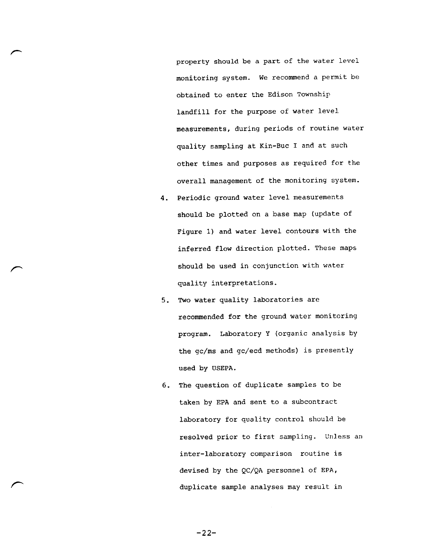property should be a part of the water level monitoring system. We recommend a permit be obtained to enter the Edison Township landfill for the purpose of water level measurements, during periods of routine water quality sampling at Kin-Buc I and at such other times and purposes as required for the overall management of the monitoring system.

- 4. Periodic ground water level measurements should be plotted on a base map (update of Figure 1) and water level contours with the inferred flow direction plotted. These maps should be used in conjunction with water quality interpretations.
- 5. Two water quality laboratories are recommended for the ground water monitoring program. Laboratory Y (organic analysis by the gc/ms and gc/ecd methods) is presently used by USEPA.
- 6. The question of duplicate samples to be taken by EPA and sent to a subcontract laboratory for quality control should be resolved prior to first sampling. Unless an inter-laboratory comparison routine is devised by the QC/QA personnel of EPA, duplicate sample analyses may result in

-22-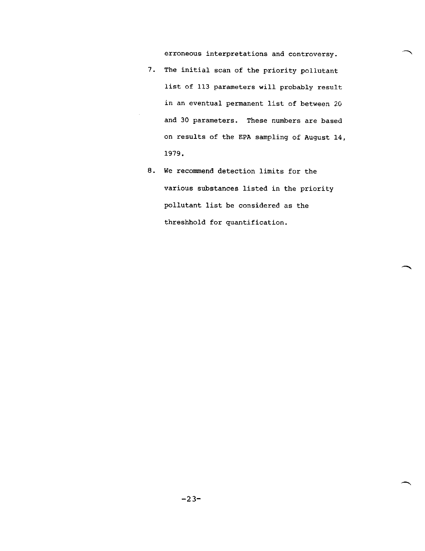erroneous interpretations and controversy.

- 7. The initial scan of the priority pollutant list of 113 parameters will probably result in an eventual permanent list of between 20 and 30 parameters. These numbers are based on results of the EPA sampling of August 14, 1979.
- 8. We recommend detection limits for the various substances listed in the priority pollutant list be considered as the threshhold for quantification.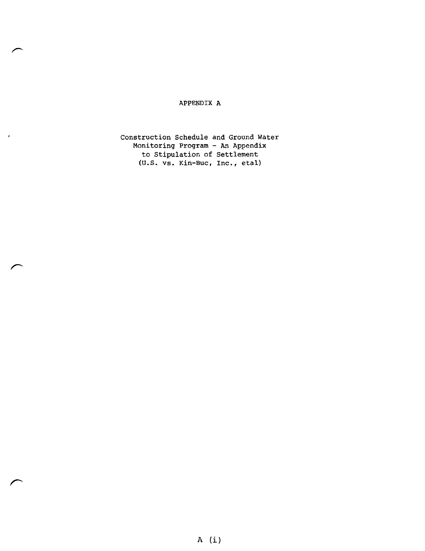APPENDIX A

Construction Schedule and Ground Water Monitoring Program - An Appendix to Stipulation of Settlement (U.S. vs. Kin-Buc, Inc., etal)

 $\mathbf{\hat{y}}$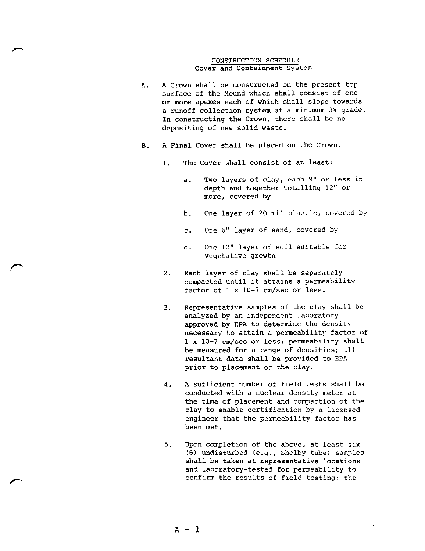#### CONSTRUCTION SCHEDULE Cover and Containment System

- A. A Crown shall be constructed on the present top surface of the Mound which shall consist of one or more apexes each of which shall slope towards a runoff collection system at a minimum 3% grade. In constructing the Crown, there shall be no depositing of new solid waste.
- B. A Final Cover shall be placed on the Crown.
	- 1. The Cover shall consist of at least:
		- a. Two layers of clay, each 9" or less in depth and together totalling 12" or more, covered by
		- b. One layer of 20 mil plastic, covered by
		- c. One 6" layer of sand, covered by
		- d. One 12" layer of soil suitable for vegetative growth
	- 2. Each layer of clay shall be separately compacted until it attains a permeability factor of 1 x 10-7 cm/sec or less.
	- 3. Representative samples of the clay shall be analyzed by an independent laboratory approved by EPA to determine the density necessary to attain a permeability factor of 1 x 10-7 cm/sec or less; permeability shall be measured for a range of densities; all resultant data shall be provided to EPA prior to placement of the clay.
	- 4. A sufficient number of field tests shall be conducted with a nuclear density meter at the time of placement and compaction of the clay to enable certification by a licensed engineer that the permeability factor has been met.
	- 5. Upon completion of the above, at least six (6) undisturbed (e.g., Shelby tube) samples shall be taken at representative locations and laboratory-tested for permeability to confirm the results of field testing; the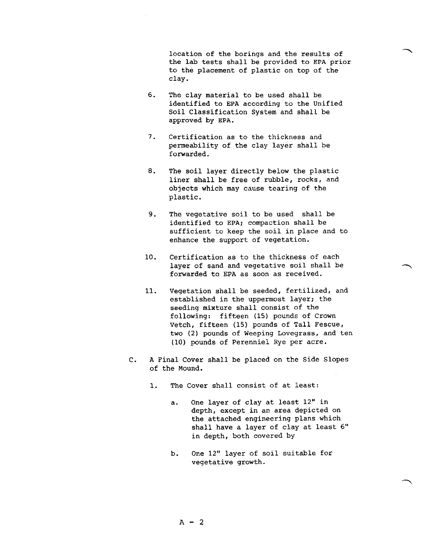location of the borings and the results of the lab tests shall be provided to EPA prior to the placement of plastic on top of the clay.

- 6. The clay material to be used shall be identified to EPA according to the Unified Soil Classification System and shall be approved by EPA.
- 7. Certification as to the thickness and permeability of the clay layer shall be forwarded.
- 8. The soil layer directly below the plastic liner shall be free of rubble, rocks, and objects which may cause tearing of the plastic.
- 9. The vegetative soil to be used shall be identified to EPA; compaction shall be sufficient to keep the soil in place and to enhance the support of vegetation.
- 10. Certification as to the thickness of each layer of sand and vegetative soil shall be forwarded to EPA as soon as received.
- 11. Vegetation shall be seeded, fertilized, and established in the uppermost layer; the seeding mixture shall consist of the following: fifteen (15) pounds of Crown Vetch, fifteen (15) pounds of Tall Fescue, two (2) pounds of Weeping Lovegrass, and ten (10) pounds of Perenniel Rye per acre.
- C. A Final Cover shall be placed on the Side Slopes of the Mound.
	- 1. The Cover shall consist of at least:
		- a. One layer of clay at least 12" in depth, except in an area depicted on the attached engineering plans which shall have a layer of clay at least 6" in depth, both covered by
		- b. One 12" layer of soil suitable for vegetative growth.

 $A - 2$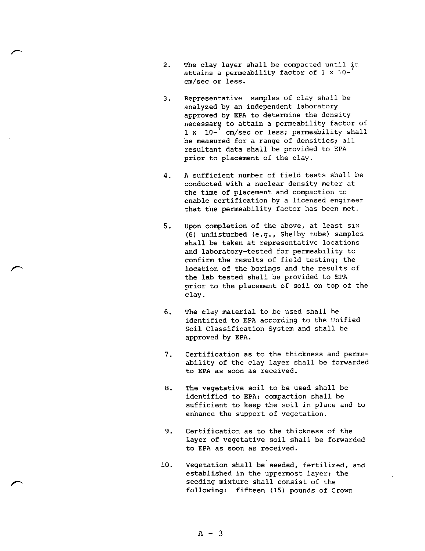- 2. The clay layer shall be compacted until it attains a permeability factor of 1 x 10 cm/sec or less.
- 3. Representative samples of clay shall be analyzed by an independent laboratory approved by EPA to determine the density necessary to attain a permeability factor of 1 x 10-' cm/sec or less; permeability shall be measured for a range of densities; all resultant data shall be provided to EPA prior to placement of the clay.
- 4. A sufficient number of field tests shall be conducted with a nuclear density meter at the time of placement and compaction to enable certification by a licensed engineer that the permeability factor has been met.
- 5. Upon completion of the above, at least six (6) undisturbed (e.g., Shelby tube) samples shall be taken at representative locations and laboratory-tested for permeability to confirm the results of field testing; the location of the borings and the results of the lab tested shall be provided to EPA prior to the placement of soil on top of the clay.
- 6. The clay material to be used shall be identified to EPA according to the Unified Soil Classification System and shall be approved by EPA.
- 7. Certification as to the thickness and permeability of the clay layer shall be forwarded to EPA as soon as received.
- 8. The vegetative soil to be used shall be identified to EPA; compaction shall be sufficient to keep the soil in place and to enhance the support of vegetation.
- 9. Certification as to the thickness of the layer of vegetative soil shall be forwarded to EPA as soon as received.
- 10. Vegetation shall be seeded, fertilized, and established in the uppermost layer; the seeding mixture shall consist of the following: fifteen (15) pounds of Crown

 $A - 3$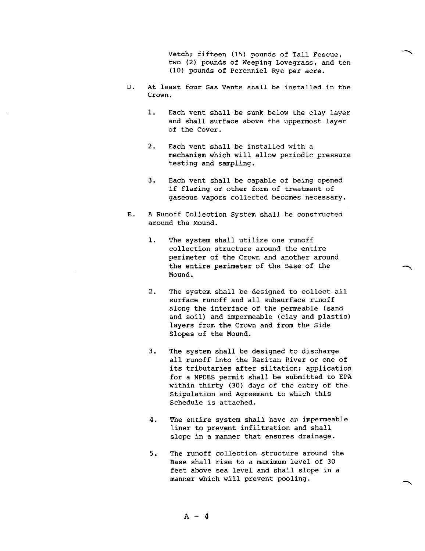Vetch; fifteen (15) pounds of Tall Fescue, two (2) pounds of Weeping Lovegrass, and ten (10) pounds of Perenniel Rye per acre.

- D. At least four Gas Vents shall be installed in the Crown.
	- 1. Each vent shall be sunk below the clay layer and shall surface above the uppermost layer of the Cover.
	- 2. Each vent shall be installed with a mechanism which will allow periodic pressure testing and sampling.
	- 3. Each vent shall be capable of being opened if flaring or other form of treatment of gaseous vapors collected becomes necessary.
- E. A Runoff Collection System shall be constructed around the Mound.
	- 1. The system shall utilize one runoff collection structure around the entire perimeter of the Crown and another around the entire perimeter of the Base of the Mound.
	- 2. The system shall be designed to collect all surface runoff and all subsurface runoff along the interface of the permeable (sand and soil) and impermeable (clay and plastic) layers from the Crown and from the Side Slopes of the Mound.
	- 3. The system shall be designed to discharge all runoff into the Raritan River or one of its tributaries after siltation; application for a NPDES permit shall be submitted to EPA within thirty (30) days of the entry of the Stipulation and Agreement to which this Schedule is attached.
	- 4. The entire system shall have an impermeable liner to prevent infiltration and shall slope in a manner that ensures drainage.
	- 5. The runoff collection structure around the Base shall rise to a maximum level of 30 feet above sea level and shall slope in a manner which will prevent pooling.

 $A - 4$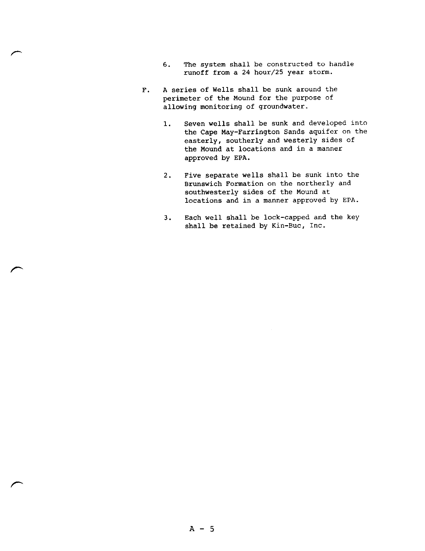- 6. The system shall be constructed to handle runoff from a 24 hour/25 year storm.
- F. A series of Wells shall be sunk around the perimeter of the Mound for the purpose of allowing monitoring of groundwater.
	- 1. Seven wells shall be sunk and developed into the Cape May-Farrington Sands aquifer on the easterly, southerly and westerly sides of the Mound at locations and in a manner approved by EPA.
	- 2. Five separate wells shall be sunk into the Brunswich Formation on the northerly and southwesterly sides of the Mound at locations and in a manner approved by EPA.
	- 3. Each well shall be lock-capped and the key shall be retained by Kin-Buc, Inc.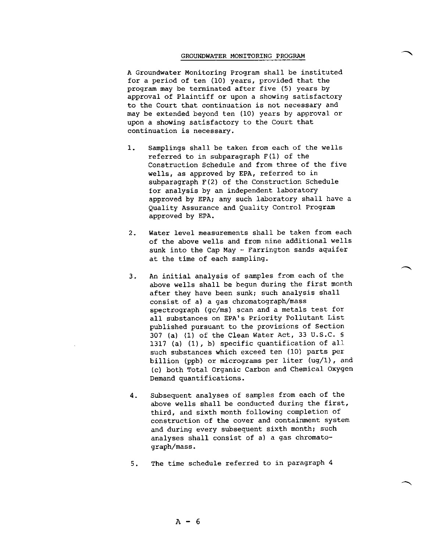#### GROUNDWATER MONITORING PROGRAM

A Groundwater Monitoring Program shall be instituted for a period of ten (10) years, provided that the program may be terminated after five (5) years by approval of Plaintiff or upon a showing satisfactory to the Court that continuation is not necessary and may be extended beyond ten (10) years by approval or upon a showing satisfactory to the Court that continuation is necessary.

- 1. Samplings shall be taken from each of the wells referred to in subparagraph F(1) of the Construction Schedule and from three of the five wells, as approved by EPA, referred to in subparagraph F(2) of the Construction Schedule for analysis by an independent laboratory approved by EPA; any such laboratory shall have a Quality Assurance and Quality Control Program approved by EPA.
- 2. Water level measurements shall be taken from each of the above wells and from nine additional wells sunk into the Cap May - Farrington sands aquifer at the time of each sampling.
- 3. An initial analysis of samples from each of the above wells shall be begun during the first month after they have been sunk; such analysis shall consist of a) a gas chromatograph/mass spectrograph (gc/ms) scan and a metals test for all substances on EPA's Priority Pollutant List published pursuant to the provisions of Section 307 (a) (1) of the Clean Water Act, 33 U.S.C. § 1317 (a) (1), b) specific quantification of all such substances which exceed ten (10) parts per billion (ppb) or micrograms per liter  $(ug/1)$ , and (c) both Total Organic Carbon and Chemical Oxygen Demand quantifications.
- 4. Subsequent analyses of samples from each of the above wells shall be conducted during the first, third, and sixth month following completion of construction of the cover and containment system and during every subsequent sixth month; such analyses shall consist of a) a gas chromatograph/mass.
- 5. The time schedule referred to in paragraph 4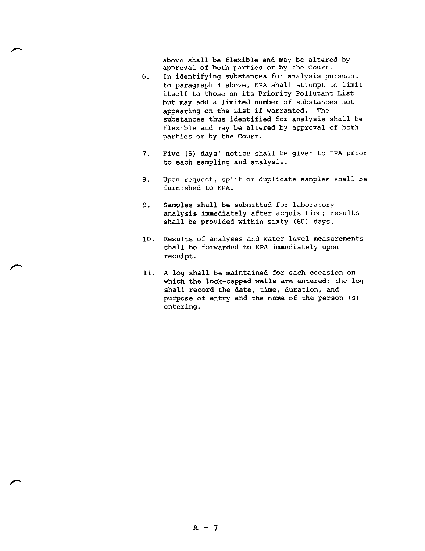above shall be flexible and may be altered by approval of both parties or by the Court.

- 6. In identifying substances for analysis pursuant to paragraph 4 above, EPA shall attempt to limit itself to those on its Priority Pollutant List but may add a limited number of substances not appearing on the List if warranted. The substances thus identified for analysis shall be flexible and may be altered by approval of both parties or by the Court.
- 7. Five (5) days' notice shall be given to EPA prior to each sampling and analysis.
- 8. Upon request, split or duplicate samples shall be furnished to EPA.
- 9. Samples shall be submitted for laboratory analysis immediately after acquisition; results shall be provided within sixty (60) days.
- 10. Results of analyses and water level measurements shall be forwarded to EPA immediately upon receipt.
- 11. A log shall be maintained for each occasion on which the lock-capped wells are entered; the log shall record the date, time, duration, and purpose of entry and the name of the person (s) entering.